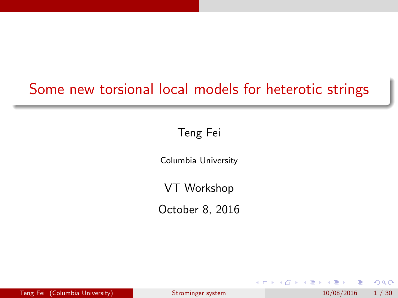## <span id="page-0-0"></span>Some new torsional local models for heterotic strings

Teng Fei

Columbia University

VT Workshop

October 8, 2016

 $QQ$ 

∋ » 舌

 $\sim$ 

4 0 8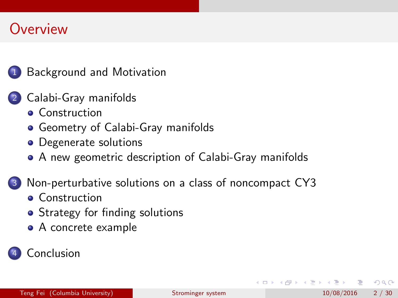### **Overview**



### 2 [Calabi-Gray manifolds](#page-11-0)

- **[Construction](#page-11-0)**
- **[Geometry of Calabi-Gray manifolds](#page-13-0)**
- [Degenerate solutions](#page-14-0)
- [A new geometric description of Calabi-Gray manifolds](#page-17-0)

### [Non-perturbative solutions on a class of noncompact CY3](#page-21-0)

- **•** [Construction](#page-21-0)
- [Strategy for finding solutions](#page-23-0)
- [A concrete example](#page-26-0)

### **[Conclusion](#page-28-0)**

 $QQ$ 

- 4 重 8 - 4 重 8

4 0 8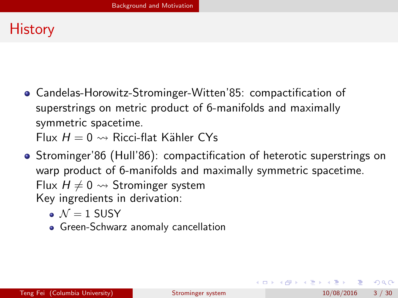## <span id="page-2-0"></span>**History**

Candelas-Horowitz-Strominger-Witten'85: compactification of superstrings on metric product of 6-manifolds and maximally symmetric spacetime.

Flux  $H = 0 \rightsquigarrow$  Ricci-flat Kähler CYs

- Strominger'86 (Hull'86): compactification of heterotic superstrings on warp product of 6-manifolds and maximally symmetric spacetime. Flux  $H \neq 0 \rightsquigarrow$  Strominger system Key ingredients in derivation:
	- $N = 1$  SUSY
	- **•** Green-Schwarz anomaly cancellation

 $QQ$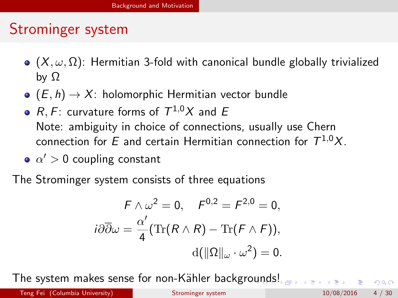## <span id="page-3-0"></span>Strominger system

- $\bullet$  ( $X, \omega, \Omega$ ): Hermitian 3-fold with canonical bundle globally trivialized by  $\Omega$
- $\bullet$   $(E, h) \rightarrow X$ : holomorphic Hermitian vector bundle
- $R,F$ : curvature forms of  $\mathcal{T}^{1,0}\mathcal{X}$  and  $E$ Note: ambiguity in choice of connections, usually use Chern connection for  $E$  and certain Hermitian connection for  $\mathcal{T}^{1,0}X.$
- $\alpha'$   $>$  0 coupling constant

The Strominger system consists of three equations

$$
F \wedge \omega^2 = 0, \quad F^{0,2} = F^{2,0} = 0,
$$

$$
i\partial \overline{\partial} \omega = \frac{\alpha'}{4} (\text{Tr}(R \wedge R) - \text{Tr}(F \wedge F)),
$$

$$
d(||\Omega||_{\omega} \cdot \omega^2) = 0.
$$

The system makes sense for non-Kähler backgro[un](#page-2-0)[ds](#page-4-0)[!](#page-2-0)

 $-299$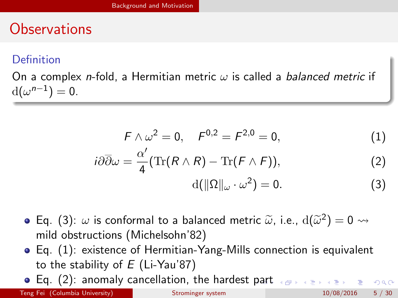## <span id="page-4-0"></span>**Observations**

#### **Definition**

On a complex *n*-fold, a Hermitian metric  $\omega$  is called a *balanced metric* if  $d(\omega^{n-1})=0.$ 

$$
F \wedge \omega^2 = 0, \quad F^{0,2} = F^{2,0} = 0, \tag{1}
$$

$$
i\partial\overline{\partial}\omega = \frac{\alpha'}{4}(\operatorname{Tr}(R\wedge R) - \operatorname{Tr}(F\wedge F)),\tag{2}
$$

<span id="page-4-3"></span><span id="page-4-2"></span><span id="page-4-1"></span>
$$
d(\|\Omega\|_{\omega}\cdot\omega^2)=0.\tag{3}
$$

- Eq. [\(3\)](#page-4-1):  $\omega$  is conformal to a balanced metric  $\tilde{\omega}$ , i.e.,  $d(\tilde{\omega}^2) = 0 \rightsquigarrow$ mild obstructions (Michelsohn'82)
- Eq. [\(1\)](#page-4-2): existence of Hermitian-Yang-Mills connection is equivalent to the stability of  $E$  (Li-Yau'87)
- Eq. [\(2\)](#page-4-3): anomaly cancellation, the hardest [pa](#page-3-0)r[t](#page-5-0)

Teng Fei (Columbia University) [Strominger system](#page-0-0) 10/08/2016 5/30

 $OQ$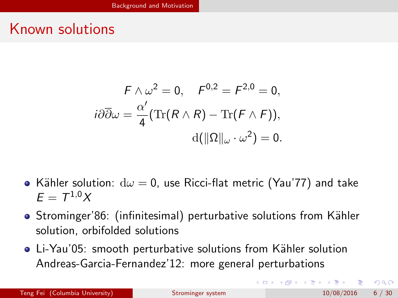### <span id="page-5-0"></span>Known solutions

$$
F \wedge \omega^2 = 0, \quad F^{0,2} = F^{2,0} = 0,
$$

$$
i\partial \overline{\partial} \omega = \frac{\alpha'}{4} (\text{Tr}(R \wedge R) - \text{Tr}(F \wedge F)),
$$

$$
d(||\Omega||_{\omega} \cdot \omega^2) = 0.
$$

- Kähler solution:  $d\omega = 0$ , use Ricci-flat metric (Yau'77) and take  $E = T^{1,0}X$
- Strominger'86: (infinitesimal) perturbative solutions from Kähler solution, orbifolded solutions
- Li-Yau'05: smooth perturbative solutions from Kähler solution Andreas-Garcia-Fernandez'12: more general perturbations

 $QQ$ 

 $\left\{ \begin{array}{ccc} 1 & 0 & 0 \\ 0 & 1 & 0 \end{array} \right.$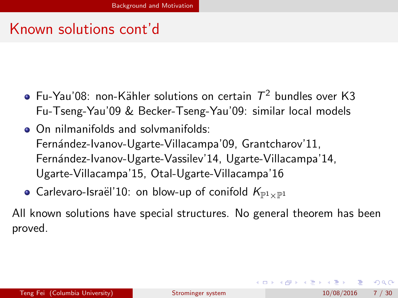## <span id="page-6-0"></span>Known solutions cont'd

- Fu-Yau'08: non-Kähler solutions on certain  $\, \mathcal{T}^{2}$  bundles over K3 Fu-Tseng-Yau'09 & Becker-Tseng-Yau'09: similar local models
- On nilmanifolds and solvmanifolds: Fernández-Ivanov-Ugarte-Villacampa'09, Grantcharov'11, Fernández-Ivanov-Ugarte-Vassilev'14, Ugarte-Villacampa'14, Ugarte-Villacampa'15, Otal-Ugarte-Villacampa'16
- Carlevaro-Israël'10: on blow-up of conifold  $K_{\mathbb{P}^1\times\mathbb{P}^1}$

All known solutions have special structures. No general theorem has been proved.

 $QQ$ 

 $\left\{ \begin{array}{ccc} 1 & 0 & 0 \\ 0 & 1 & 0 \end{array} \right.$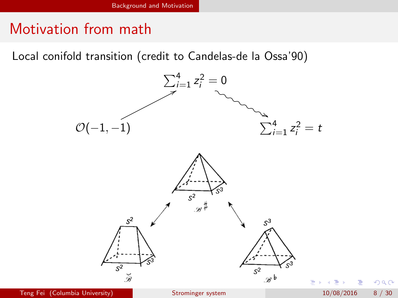## <span id="page-7-0"></span>Motivation from math

Local conifold transition (credit to Candelas-de la Ossa'90)



 $\Omega$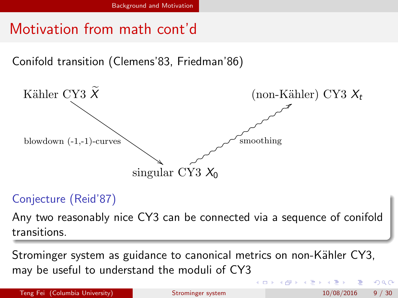## <span id="page-8-0"></span>Motivation from math cont'd

Conifold transition (Clemens'83, Friedman'86)



#### Conjecture (Reid'87)

Any two reasonably nice CY3 can be connected via a sequence of conifold transitions.

Strominger system as guidance to canonical metrics on non-Kähler CY3, may be useful to understand the moduli of CY3

Teng Fei (Columbia University) [Strominger system](#page-0-0) 10/08/2016 9/30

4 0 8

 $200$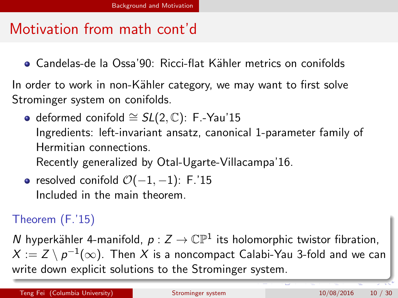## <span id="page-9-0"></span>Motivation from math cont'd

● Candelas-de la Ossa'90: Ricci-flat Kähler metrics on conifolds

In order to work in non-Kähler category, we may want to first solve Strominger system on conifolds.

 $\bullet$  deformed conifold  $\cong$  SL(2, C): F.-Yau'15 Ingredients: left-invariant ansatz, canonical 1-parameter family of Hermitian connections.

Recently generalized by Otal-Ugarte-Villacampa'16.

• resolved conifold  $\mathcal{O}(-1, -1)$ : F.'15 Included in the main theorem.

### Theorem (F.'15)

N hyperkähler 4-manifold,  $p: Z \to \mathbb{CP}^1$  its holomorphic twistor fibration,  $X:=Z\setminus p^{-1}(\infty).$  Then  $X$  is a noncompact Calabi-Yau 3-fold and we can write down explicit solutions to the Strominger system.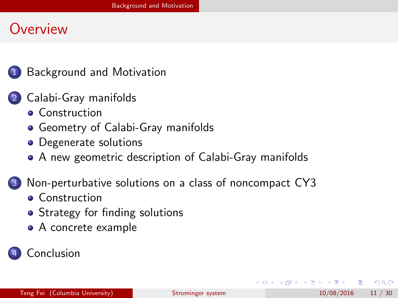### <span id="page-10-0"></span>**Overview**



### 2 [Calabi-Gray manifolds](#page-11-0)

- **[Construction](#page-11-0)**
- **[Geometry of Calabi-Gray manifolds](#page-13-0)**
- [Degenerate solutions](#page-14-0)
- [A new geometric description of Calabi-Gray manifolds](#page-17-0)

### [Non-perturbative solutions on a class of noncompact CY3](#page-21-0)

- **•** [Construction](#page-21-0)
- [Strategy for finding solutions](#page-23-0)
- [A concrete example](#page-26-0)



 $QQ$ 

医单位 医单位

4 0 8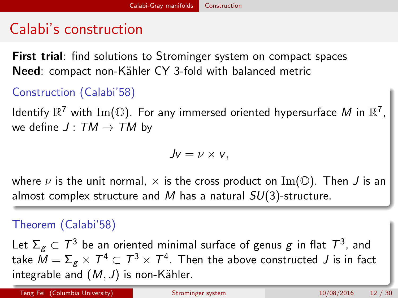## <span id="page-11-0"></span>Calabi's construction

First trial: find solutions to Strominger system on compact spaces Need: compact non-Kähler CY 3-fold with balanced metric

#### Construction (Calabi'58)

Identify  $\mathbb{R}^7$  with  $\mathrm{Im}(\mathbb{O}).$  For any immersed oriented hypersurface  $M$  in  $\mathbb{R}^7,$ we define  $J: TM \rightarrow TM$  by

$$
Jv=\nu\times v,
$$

where  $\nu$  is the unit normal,  $\times$  is the cross product on Im( $\mathbb O$ ). Then J is an almost complex structure and M has a natural  $SU(3)$ -structure.

#### Theorem (Calabi'58)

Let  $\Sigma_{g}\subset T^{3}$  be an oriented minimal surface of genus  $g$  in flat  $T^{3}$ , and take  $\bar{M}=\Sigma_g\times\mathcal{T}^4\subset\mathcal{T}^3\times\mathcal{T}^4$ . Then the above constructed  $J$  is in fact integrable and  $(M, J)$  is non-Kähler.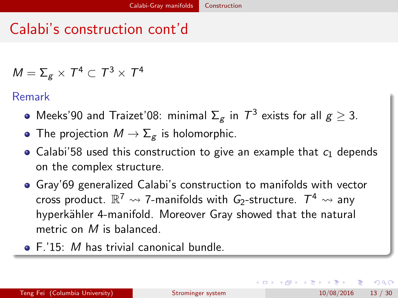# <span id="page-12-0"></span>Calabi's construction cont'd

$$
\mathit{M}=\Sigma_g\times\mathcal{T}^4\subset\mathcal{T}^3\times\mathcal{T}^4
$$

Remark

- Meeks'90 and Traizet'08: minimal  $\Sigma_g$  in  $\mathcal{T}^3$  exists for all  $g\geq 3$ .
- The projection  $M \to \Sigma_g$  is holomorphic.
- Calabi'58 used this construction to give an example that  $c_1$  depends on the complex structure.
- Gray'69 generalized Calabi's construction to manifolds with vector cross product.  $\mathbb{R}^7 \leadsto$  7-manifolds with  $\mathit{G}_2$ -structure.  $\mathcal{T}^4 \leadsto$  any hyperkähler 4-manifold. Moreover Gray showed that the natural metric on M is balanced.
- F.'15: *M* has trivial canonical bundle.

 $QQQ$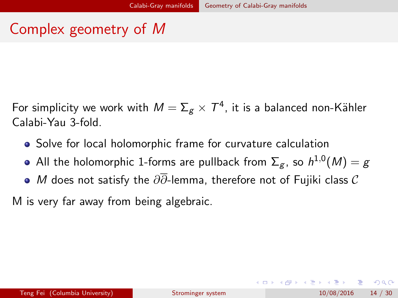## <span id="page-13-0"></span>Complex geometry of M

For simplicity we work with  $\mathcal{M}=\Sigma_{\mathcal{g}}\times\mathcal{T}^{4}$ , it is a balanced non-Kähler Calabi-Yau 3-fold.

- Solve for local holomorphic frame for curvature calculation
- All the holomorphic 1-forms are pullback from  $\Sigma_g$ , so  $h^{1,0}(M)=g$
- $\bullet$  *M* does not satisfy the  $\partial\overline{\partial}$ -lemma, therefore not of Fujiki class  $\mathcal C$

M is very far away from being algebraic.

 $\Omega$ 

イロト イ母 トイヨ トイヨト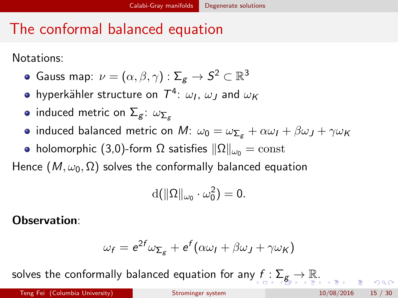# <span id="page-14-0"></span>The conformal balanced equation

Notations:

- Gauss map:  $\nu = (\alpha, \beta, \gamma): \Sigma_{\boldsymbol{\mathcal{g}}} \rightarrow \mathcal{S}^2 \subset \mathbb{R}^3$
- hyperkähler structure on  $\, T^4\!\!$ :  $\, \omega_I^{}, \, \omega_J^{}$  and  $\, \omega_K^{}$
- induced metric on  $\Sigma_g$ :  $\omega_{\Sigma_g}$
- induced balanced metric on M:  $\omega_0 = \omega_{\Sigma_g} + \alpha \omega_I + \beta \omega_J + \gamma \omega_K$
- holomorphic (3,0)-form  $\Omega$  satisfies  $\|\Omega\|_{\omega_0} = \text{const}$

Hence ( $M, \omega_0, \Omega$ ) solves the conformally balanced equation

$$
\mathrm{d} \big( \|\Omega\|_{\omega_0} \cdot \omega_0^2 \big) = 0.
$$

Observation:

$$
\omega_f = e^{2f} \omega_{\Sigma_g} + e^f (\alpha \omega_I + \beta \omega_J + \gamma \omega_K)
$$

solves the con[f](#page-13-0)ormally balanced equation for any  $f: \sum_{g} \rightarrow \mathbb{R}$  $f: \sum_{g} \rightarrow \mathbb{R}$  $f: \sum_{g} \rightarrow \mathbb{R}$  $f: \sum_{g} \rightarrow \mathbb{R}$  $f: \sum_{g} \rightarrow \mathbb{R}$  $f: \sum_{g} \rightarrow \mathbb{R}$  $f: \sum_{g} \rightarrow \mathbb{R}$ [.](#page-17-0)

 $QQQ$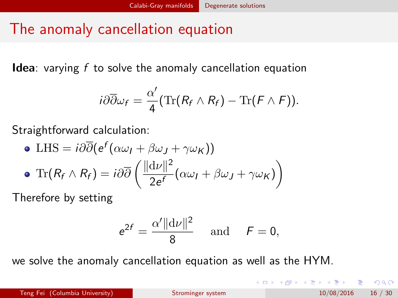## <span id="page-15-0"></span>The anomaly cancellation equation

**Idea**: varying  $f$  to solve the anomaly cancellation equation

$$
i\partial\overline{\partial}\omega_f=\frac{\alpha'}{4}(\text{Tr}(R_f\wedge R_f)-\text{Tr}(F\wedge F)).
$$

Straightforward calculation:

\n- \n
$$
\text{LHS} = i\partial\overline{\partial}(e^f(\alpha\omega_I + \beta\omega_J + \gamma\omega_K))
$$
\n
\n- \n $\text{Tr}(R_f \wedge R_f) = i\partial\overline{\partial}\left(\frac{\|\mathrm{d}\nu\|^2}{2e^f}(\alpha\omega_I + \beta\omega_J + \gamma\omega_K)\right)$ \n
\n

Therefore by setting

$$
e^{2f} = \frac{\alpha' \|\mathrm{d}\nu\|^2}{8} \quad \text{and} \quad F = 0,
$$

we solve the anomaly cancellation equation as well as the HYM.

 $QQ$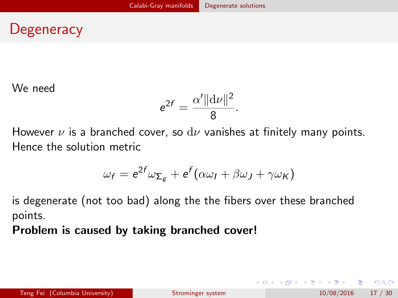## <span id="page-16-0"></span>**Degeneracy**

We need

$$
e^{2f}=\frac{\alpha'\|\mathrm{d}\nu\|^2}{8}.
$$

However  $\nu$  is a branched cover, so  $d\nu$  vanishes at finitely many points. Hence the solution metric

$$
\omega_f = e^{2f} \omega_{\Sigma_g} + e^f (\alpha \omega_I + \beta \omega_J + \gamma \omega_K)
$$

is degenerate (not too bad) along the the fibers over these branched points.

Problem is caused by taking branched cover!

G.  $\Omega$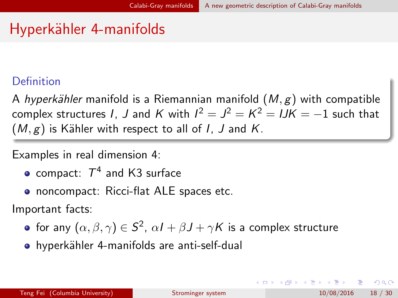## <span id="page-17-0"></span>Hyperkähler 4-manifolds

#### **Definition**

A hyperkähler manifold is a Riemannian manifold  $(M, g)$  with compatible complex structures 1, J and K with  $l^2=J^2=K^2= lJK=-1$  such that  $(M, g)$  is Kähler with respect to all of I, J and K.

Examples in real dimension 4:

- compact:  $\mathcal{T}^4$  and K3 surface
- noncompact: Ricci-flat ALE spaces etc.

Important facts:

- for any  $(\alpha,\beta,\gamma)\in\mathcal{S}^2$ ,  $\alpha\mathit{I}+\beta\mathit{J}+\gamma\mathcal{K}$  is a complex structure
- hyperkähler 4-manifolds are anti-self-dual

э.

 $QQQ$ 

イロト イ母 トイヨ トイヨト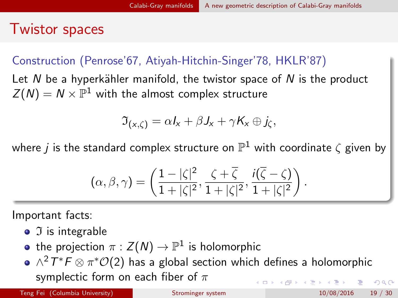### <span id="page-18-0"></span>Twistor spaces

### Construction (Penrose'67, Atiyah-Hitchin-Singer'78, HKLR'87)

Let N be a hyperkähler manifold, the twistor space of N is the product  $Z(N)=N\times\mathbb{P}^1$  with the almost complex structure

$$
\mathfrak{I}_{(x,\zeta)} = \alpha I_x + \beta J_x + \gamma K_x \oplus j_{\zeta},
$$

where  $j$  is the standard complex structure on  $\mathbb{P}^1$  with coordinate  $\zeta$  given by

$$
(\alpha,\beta,\gamma)=\left(\frac{1-|\zeta|^2}{1+|\zeta|^2},\frac{\zeta+\overline{\zeta}}{1+|\zeta|^2},\frac{i(\overline{\zeta}-\zeta)}{1+|\zeta|^2}\right).
$$

Important facts:

- $\bullet$   $\Im$  is integrable
- the projection  $\pi:Z(\bar N)\to\mathbb P^1$  is holomorphic
- $\wedge^2T^*\digamma\otimes\pi^*\mathcal{O}(2)$  has a global section which defines a holomorphic symplectic form on each fiber of  $\pi$  $\left\{ \begin{array}{ccc} 1 & 0 & 0 \\ 0 & 1 & 0 \end{array} \right.$  $ORO$

Teng Fei (Columbia University) [Strominger system](#page-0-0) 10/08/2016 19 / 30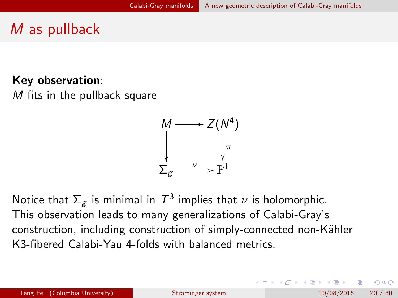# <span id="page-19-0"></span>M as pullback

#### Key observation:

M fits in the pullback square



Notice that  $\Sigma_g$  is minimal in  $\mathcal{T}^3$  implies that  $\nu$  is holomorphic. This observation leads to many generalizations of Calabi-Gray's construction, including construction of simply-connected non-Kähler K3-fibered Calabi-Yau 4-folds with balanced metrics.

Teng Fei (Columbia University) [Strominger system](#page-0-0) 10/08/2016 20 / 30

KED KARD KED KED E VOOR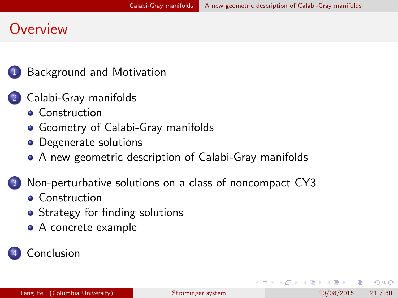### <span id="page-20-0"></span>**Overview**



#### 2 [Calabi-Gray manifolds](#page-11-0)

- **[Construction](#page-11-0)**
- **[Geometry of Calabi-Gray manifolds](#page-13-0)**
- [Degenerate solutions](#page-14-0)
- [A new geometric description of Calabi-Gray manifolds](#page-17-0)

#### [Non-perturbative solutions on a class of noncompact CY3](#page-21-0)

- **•** [Construction](#page-21-0)
- [Strategy for finding solutions](#page-23-0)
- [A concrete example](#page-26-0)

#### **[Conclusion](#page-28-0)**

 $QQ$ 

イラメ イラメ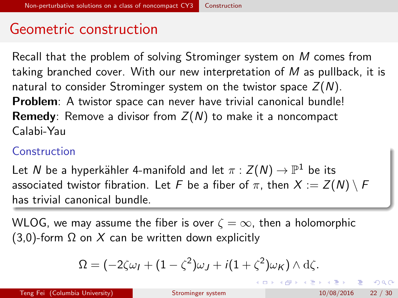### <span id="page-21-0"></span>Geometric construction

Recall that the problem of solving Strominger system on M comes from taking branched cover. With our new interpretation of  $M$  as pullback, it is natural to consider Strominger system on the twistor space  $Z(N)$ . Problem: A twistor space can never have trivial canonical bundle! **Remedy**: Remove a divisor from  $Z(N)$  to make it a noncompact Calabi-Yau

#### **Construction**

Let  $N$  be a hyperkähler 4-manifold and let  $\pi:Z(N)\rightarrow \mathbb{P}^1$  be its associated twistor fibration. Let F be a fiber of  $\pi$ , then  $X := Z(N) \setminus F$ has trivial canonical bundle.

WLOG, we may assume the fiber is over  $\zeta = \infty$ , then a holomorphic (3,0)-form  $\Omega$  on X can be written down explicitly

$$
\Omega = (-2\zeta\omega_I + (1-\zeta^2)\omega_J + i(1+\zeta^2)\omega_K) \wedge d\zeta.
$$

**KOD KARD KED KED B YOUR**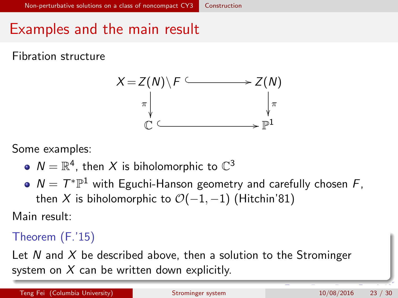## <span id="page-22-0"></span>Examples and the main result

Fibration structure



Some examples:

- $\mathcal{N}=\mathbb{R}^4$ , then  $X$  is biholomorphic to  $\mathbb{C}^3$
- $N = T^* \mathbb{P}^1$  with Eguchi-Hanson geometry and carefully chosen F, then X is biholomorphic to  $\mathcal{O}(-1,-1)$  (Hitchin'81)

Main result:

Theorem (F.'15)

Let N and X be described above, then a solution to the Strominger system on  $X$  can be written down explicitly.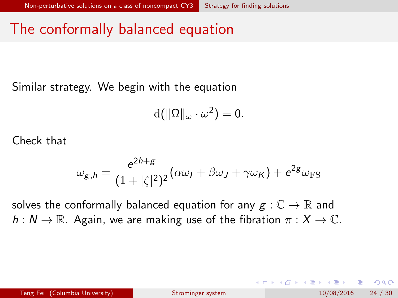## <span id="page-23-0"></span>The conformally balanced equation

Similar strategy. We begin with the equation

$$
d(\|\Omega\|_{\omega}\cdot\omega^2)=0.
$$

Check that

$$
\omega_{g,h} = \frac{e^{2h+g}}{(1+|\zeta|^2)^2} (\alpha \omega_I + \beta \omega_J + \gamma \omega_K) + e^{2g} \omega_{\text{FS}}
$$

solves the conformally balanced equation for any  $g : \mathbb{C} \to \mathbb{R}$  and  $h: N \to \mathbb{R}$ . Again, we are making use of the fibration  $\pi: X \to \mathbb{C}$ .

 $\Omega$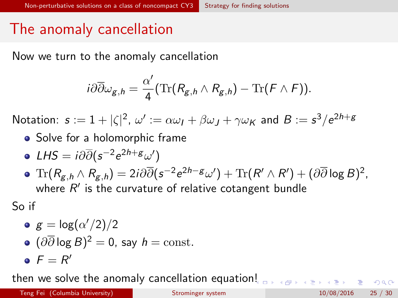## <span id="page-24-0"></span>The anomaly cancellation

Now we turn to the anomaly cancellation

$$
i\partial\overline{\partial}\omega_{g,h}=\frac{\alpha'}{4}(\text{Tr}(R_{g,h}\wedge R_{g,h})-\text{Tr}(F\wedge F)).
$$

Notation:  $\bm{s}:=1+|\zeta|^2$ ,  $\omega':=\alpha\omega_I+\beta\omega_J+\gamma\omega_{\pmb{K}}$  and  $B:=\bm{s}^3/e^{2\bm{h}+\bm{g}}$ 

- Solve for a holomorphic frame
- LHS =  $i\partial \overline{\partial}(s^{-2}e^{2h+g}\omega')$
- $\text{Tr}(R_{\mathcal{g},h}\wedge R_{\mathcal{g},h})=2i\partial\overline{\partial}(\boldsymbol{\mathsf{s}}^{-2}\boldsymbol{\mathsf{e}}^{2h-\mathcal{g}}\omega')+\text{Tr}(R'\wedge R')+(\partial\overline{\partial}\log B)^2,$ where  $R'$  is the curvature of relative cotangent bundle

So if

\n- $$
g = \log(\alpha'/2)/2
$$
\n- $(\partial \overline{\partial} \log B)^2 = 0$ , say  $h = \text{const.}$
\n- $F = R'$
\n

then we solve the anomaly cancellation equatio[n!](#page-23-0)

 $= 990$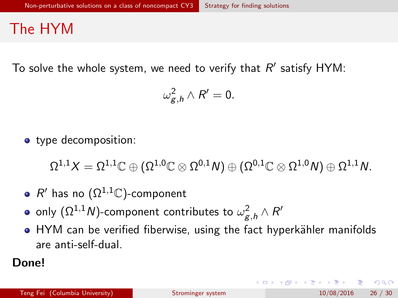### <span id="page-25-0"></span>The HYM

To solve the whole system, we need to verify that  $R'$  satisfy  $HYM:$ 

$$
\omega_{g,h}^2\wedge R'=0.
$$

• type decomposition:

 $\Omega^{1,1}X=\Omega^{1,1}\mathbb{C}\oplus (\Omega^{1,0}\mathbb{C}\otimes\Omega^{0,1}\mathsf{N})\oplus (\Omega^{0,1}\mathbb{C}\otimes\Omega^{1,0}\mathsf{N})\oplus\Omega^{1,1}\mathsf{N}.$ 

- $R'$  has no  $(\Omega^{1,1}\mathbb{C})$ -component
- only  $(\Omega^{1,1}\mathcal{N})$ -component contributes to  $\omega^2_{\mathcal{g},h}\wedge\mathcal{R}'$
- HYM can be verified fiberwise, using the fact hyperkähler manifolds are anti-self-dual.

Done!

イロト イ母 トイミト イミト ニヨー りんぴ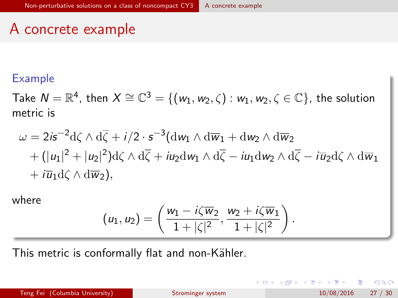### <span id="page-26-0"></span>A concrete example

#### Example

Take  $N=\mathbb{R}^4$ , then  $X\cong\mathbb{C}^3=\{ (w_1,w_2,\zeta): w_1,w_2,\zeta\in\mathbb{C}\}$ , the solution metric is

$$
\omega = 2i s^{-2} d\zeta \wedge d\overline{\zeta} + i/2 \cdot s^{-3} (dw_1 \wedge d\overline{w}_1 + dw_2 \wedge d\overline{w}_2 + (|u_1|^2 + |u_2|^2) d\zeta \wedge d\overline{\zeta} + i u_2 dw_1 \wedge d\overline{\zeta} - i u_1 dw_2 \wedge d\overline{\zeta} - i \overline{u}_2 d\zeta \wedge d\overline{w}_1 + i \overline{u}_1 d\zeta \wedge d\overline{w}_2),
$$

where

$$
(u_1,u_2)=\left(\frac{w_1-i\zeta\overline{w}_2}{1+|\zeta|^2},\frac{w_2+i\zeta\overline{w}_1}{1+|\zeta|^2}\right).
$$

This metric is conformally flat and non-Kähler.

イロト イ押 トイヨト イヨ

目

 $QQ$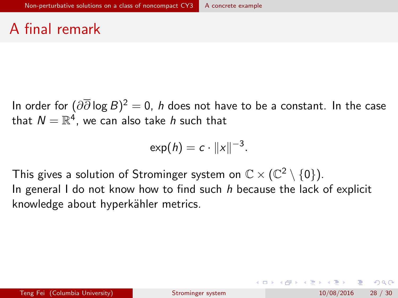## <span id="page-27-0"></span>A final remark

In order for  $(\partial\overline{\partial}\log B)^2=0,$   $h$  does not have to be a constant. In the case that  $\mathcal{N}=\mathbb{R}^4$ , we can also take  $h$  such that

$$
\exp(h) = c \cdot ||x||^{-3}.
$$

This gives a solution of Strominger system on  $\mathbb{C}\times (\mathbb{C}^2\setminus\{0\}).$ In general I do not know how to find such  $h$  because the lack of explicit knowledge about hyperkähler metrics.

 $\Omega$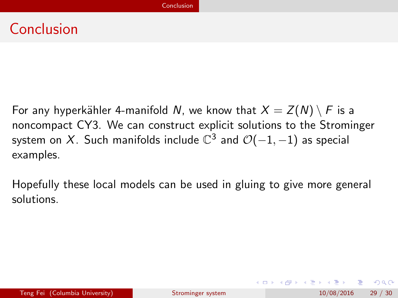### <span id="page-28-0"></span>Conclusion

For any hyperkähler 4-manifold N, we know that  $X = Z(N) \setminus F$  is a noncompact CY3. We can construct explicit solutions to the Strominger system on  $X$ . Such manifolds include  $\mathbb{C}^3$  and  $\mathcal{O}(-1,-1)$  as special examples.

Hopefully these local models can be used in gluing to give more general solutions.

 $\Omega$